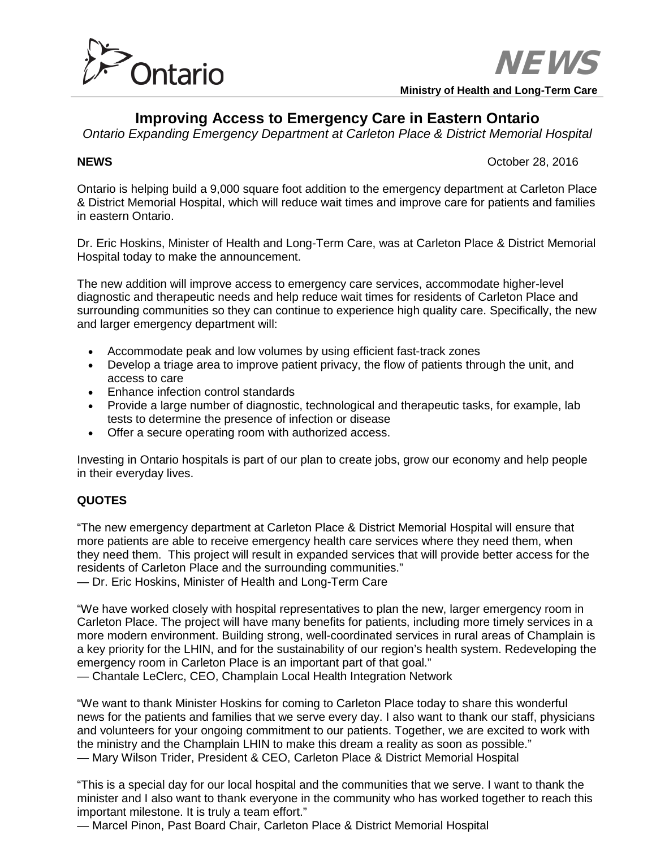

**Ministry of Health and Long-Term Care**

# **Improving Access to Emergency Care in Eastern Ontario**

*Ontario Expanding Emergency Department at Carleton Place & District Memorial Hospital*

**NEWS** October 28, 2016

Ontario is helping build a 9,000 square foot addition to the emergency department at Carleton Place & District Memorial Hospital, which will reduce wait times and improve care for patients and families in eastern Ontario.

Dr. Eric Hoskins, Minister of Health and Long-Term Care, was at Carleton Place & District Memorial Hospital today to make the announcement.

The new addition will improve access to emergency care services, accommodate higher-level diagnostic and therapeutic needs and help reduce wait times for residents of Carleton Place and surrounding communities so they can continue to experience high quality care. Specifically, the new and larger emergency department will:

- Accommodate peak and low volumes by using efficient fast-track zones
- Develop a triage area to improve patient privacy, the flow of patients through the unit, and access to care
- Enhance infection control standards
- Provide a large number of diagnostic, technological and therapeutic tasks, for example, lab tests to determine the presence of infection or disease
- Offer a secure operating room with authorized access.

Investing in Ontario hospitals is part of our plan to create jobs, grow our economy and help people in their everyday lives.

## **QUOTES**

"The new emergency department at Carleton Place & District Memorial Hospital will ensure that more patients are able to receive emergency health care services where they need them, when they need them. This project will result in expanded services that will provide better access for the residents of Carleton Place and the surrounding communities."

— Dr. Eric Hoskins, Minister of Health and Long-Term Care

"We have worked closely with hospital representatives to plan the new, larger emergency room in Carleton Place. The project will have many benefits for patients, including more timely services in a more modern environment. Building strong, well-coordinated services in rural areas of Champlain is a key priority for the LHIN, and for the sustainability of our region's health system. Redeveloping the emergency room in Carleton Place is an important part of that goal." — Chantale LeClerc, CEO, Champlain Local Health Integration Network

"We want to thank Minister Hoskins for coming to Carleton Place today to share this wonderful news for the patients and families that we serve every day. I also want to thank our staff, physicians and volunteers for your ongoing commitment to our patients. Together, we are excited to work with the ministry and the Champlain LHIN to make this dream a reality as soon as possible." — Mary Wilson Trider, President & CEO, Carleton Place & District Memorial Hospital

"This is a special day for our local hospital and the communities that we serve. I want to thank the minister and I also want to thank everyone in the community who has worked together to reach this important milestone. It is truly a team effort."

— Marcel Pinon, Past Board Chair, Carleton Place & District Memorial Hospital